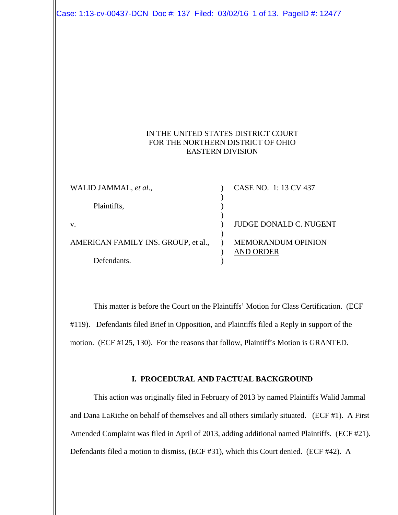Case: 1:13-cv-00437-DCN Doc #: 137 Filed: 03/02/16 1 of 13. PageID #: 12477

# IN THE UNITED STATES DISTRICT COURT FOR THE NORTHERN DISTRICT OF OHIO EASTERN DIVISION

| WALID JAMMAL, et al.,               | CASE NO. 1: 13 CV 437         |
|-------------------------------------|-------------------------------|
| Plaintiffs,                         |                               |
|                                     |                               |
| V.                                  | <b>JUDGE DONALD C. NUGENT</b> |
|                                     |                               |
| AMERICAN FAMILY INS. GROUP, et al., | <b>MEMORANDUM OPINION</b>     |
|                                     | AND ORDER                     |
| Defendants.                         |                               |

This matter is before the Court on the Plaintiffs' Motion for Class Certification. (ECF #119). Defendants filed Brief in Opposition, and Plaintiffs filed a Reply in support of the motion. (ECF #125, 130). For the reasons that follow, Plaintiff's Motion is GRANTED.

### **I. PROCEDURAL AND FACTUAL BACKGROUND**

This action was originally filed in February of 2013 by named Plaintiffs Walid Jammal and Dana LaRiche on behalf of themselves and all others similarly situated. (ECF #1). A First Amended Complaint was filed in April of 2013, adding additional named Plaintiffs. (ECF #21). Defendants filed a motion to dismiss, (ECF #31), which this Court denied. (ECF #42). A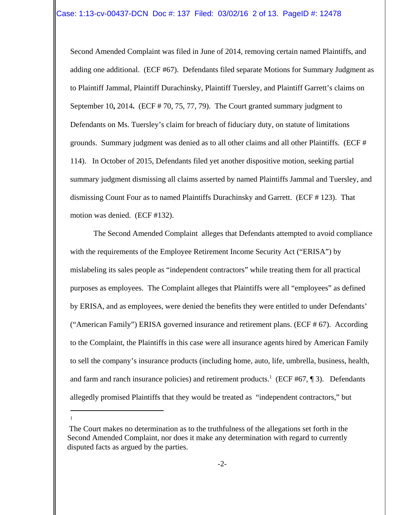Second Amended Complaint was filed in June of 2014, removing certain named Plaintiffs, and adding one additional. (ECF #67). Defendants filed separate Motions for Summary Judgment as to Plaintiff Jammal, Plaintiff Durachinsky, Plaintiff Tuersley, and Plaintiff Garrett's claims on September 10**,** 2014**.** (ECF # 70, 75, 77, 79). The Court granted summary judgment to Defendants on Ms. Tuersley's claim for breach of fiduciary duty, on statute of limitations grounds. Summary judgment was denied as to all other claims and all other Plaintiffs. (ECF # 114). In October of 2015, Defendants filed yet another dispositive motion, seeking partial summary judgment dismissing all claims asserted by named Plaintiffs Jammal and Tuersley, and dismissing Count Four as to named Plaintiffs Durachinsky and Garrett. (ECF # 123). That motion was denied. (ECF #132).

The Second Amended Complaint alleges that Defendants attempted to avoid compliance with the requirements of the Employee Retirement Income Security Act ("ERISA") by mislabeling its sales people as "independent contractors" while treating them for all practical purposes as employees. The Complaint alleges that Plaintiffs were all "employees" as defined by ERISA, and as employees, were denied the benefits they were entitled to under Defendants' ("American Family") ERISA governed insurance and retirement plans. (ECF  $\#$  67). According to the Complaint, the Plaintiffs in this case were all insurance agents hired by American Family to sell the company's insurance products (including home, auto, life, umbrella, business, health, and farm and ranch insurance policies) and retirement products.<sup>1</sup> (ECF #67, ¶ 3). Defendants allegedly promised Plaintiffs that they would be treated as "independent contractors," but

1

The Court makes no determination as to the truthfulness of the allegations set forth in the Second Amended Complaint, nor does it make any determination with regard to currently disputed facts as argued by the parties.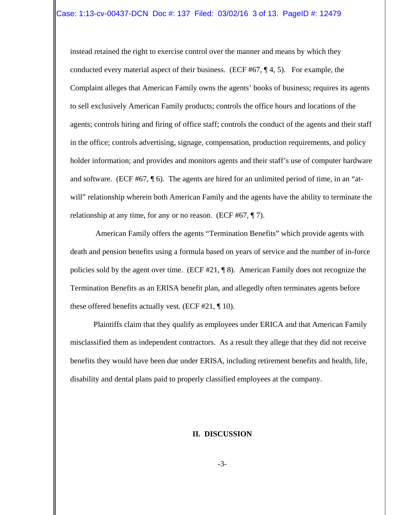instead retained the right to exercise control over the manner and means by which they conducted every material aspect of their business. (ECF #67,  $\P$  4, 5). For example, the Complaint alleges that American Family owns the agents' books of business; requires its agents to sell exclusively American Family products; controls the office hours and locations of the agents; controls hiring and firing of office staff; controls the conduct of the agents and their staff in the office; controls advertising, signage, compensation, production requirements, and policy holder information; and provides and monitors agents and their staff's use of computer hardware and software. (ECF #67, ¶ 6). The agents are hired for an unlimited period of time, in an "atwill" relationship wherein both American Family and the agents have the ability to terminate the relationship at any time, for any or no reason. (ECF #67, ¶ 7).

 American Family offers the agents "Termination Benefits" which provide agents with death and pension benefits using a formula based on years of service and the number of in-force policies sold by the agent over time. (ECF #21, ¶ 8). American Family does not recognize the Termination Benefits as an ERISA benefit plan, and allegedly often terminates agents before these offered benefits actually vest. (ECF #21, ¶ 10).

Plaintiffs claim that they qualify as employees under ERICA and that American Family misclassified them as independent contractors. As a result they allege that they did not receive benefits they would have been due under ERISA, including retirement benefits and health, life, disability and dental plans paid to properly classified employees at the company.

#### **II. DISCUSSION**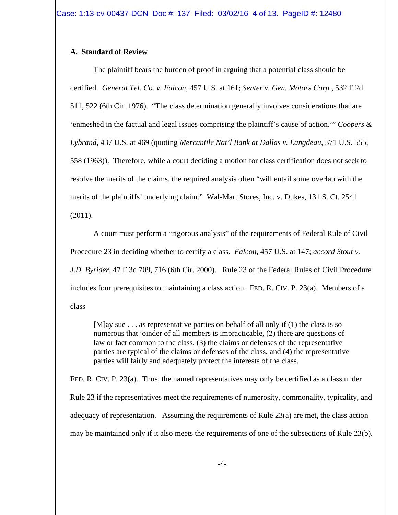# **A. Standard of Review**

The plaintiff bears the burden of proof in arguing that a potential class should be certified. *General Tel. Co. v. Falcon*, 457 U.S. at 161; *Senter v. Gen. Motors Corp.*, 532 F.2d 511, 522 (6th Cir. 1976). "The class determination generally involves considerations that are 'enmeshed in the factual and legal issues comprising the plaintiff's cause of action.'" *Coopers & Lybrand*, 437 U.S. at 469 (quoting *Mercantile Nat'l Bank at Dallas v. Langdeau*, 371 U.S. 555, 558 (1963)). Therefore, while a court deciding a motion for class certification does not seek to resolve the merits of the claims, the required analysis often "will entail some overlap with the merits of the plaintiffs' underlying claim." Wal-Mart Stores, Inc. v. Dukes, 131 S. Ct. 2541 (2011).

A court must perform a "rigorous analysis" of the requirements of Federal Rule of Civil Procedure 23 in deciding whether to certify a class. *Falcon*, 457 U.S. at 147; *accord Stout v. J.D. Byrider*, 47 F.3d 709, 716 (6th Cir. 2000). Rule 23 of the Federal Rules of Civil Procedure includes four prerequisites to maintaining a class action. FED. R. CIV. P. 23(a). Members of a class

[M]ay sue . . . as representative parties on behalf of all only if (1) the class is so numerous that joinder of all members is impracticable, (2) there are questions of law or fact common to the class, (3) the claims or defenses of the representative parties are typical of the claims or defenses of the class, and (4) the representative parties will fairly and adequately protect the interests of the class.

FED. R. CIV. P. 23(a). Thus, the named representatives may only be certified as a class under Rule 23 if the representatives meet the requirements of numerosity, commonality, typicality, and adequacy of representation. Assuming the requirements of Rule 23(a) are met, the class action may be maintained only if it also meets the requirements of one of the subsections of Rule 23(b).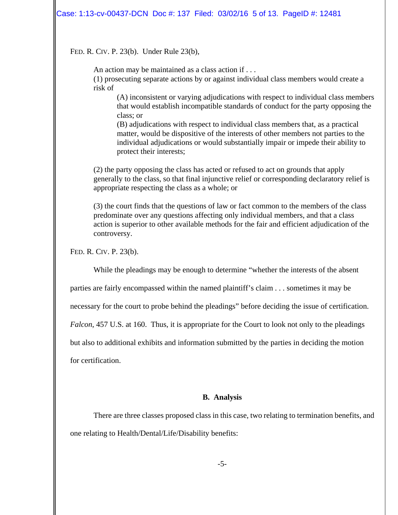#### Case: 1:13-cv-00437-DCN Doc #: 137 Filed: 03/02/16 5 of 13. PageID #: 12481

#### FED. R. CIV. P. 23(b). Under Rule 23(b),

An action may be maintained as a class action if . . .

(1) prosecuting separate actions by or against individual class members would create a risk of

(A) inconsistent or varying adjudications with respect to individual class members that would establish incompatible standards of conduct for the party opposing the class; or

(B) adjudications with respect to individual class members that, as a practical matter, would be dispositive of the interests of other members not parties to the individual adjudications or would substantially impair or impede their ability to protect their interests;

(2) the party opposing the class has acted or refused to act on grounds that apply generally to the class, so that final injunctive relief or corresponding declaratory relief is appropriate respecting the class as a whole; or

(3) the court finds that the questions of law or fact common to the members of the class predominate over any questions affecting only individual members, and that a class action is superior to other available methods for the fair and efficient adjudication of the controversy.

FED. R. CIV. P. 23(b).

While the pleadings may be enough to determine "whether the interests of the absent

parties are fairly encompassed within the named plaintiff's claim . . . sometimes it may be

necessary for the court to probe behind the pleadings" before deciding the issue of certification.

*Falcon*, 457 U.S. at 160. Thus, it is appropriate for the Court to look not only to the pleadings

but also to additional exhibits and information submitted by the parties in deciding the motion

for certification.

#### **B. Analysis**

There are three classes proposed class in this case, two relating to termination benefits, and one relating to Health/Dental/Life/Disability benefits: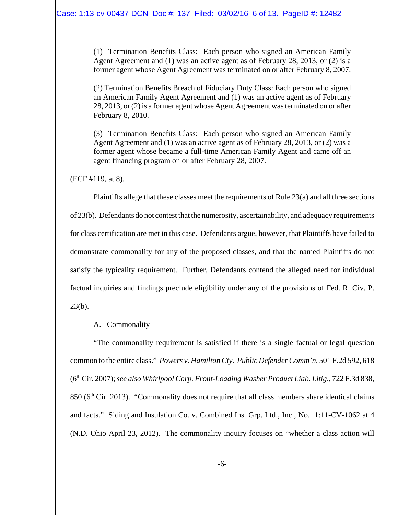(1) Termination Benefits Class: Each person who signed an American Family Agent Agreement and (1) was an active agent as of February 28, 2013, or (2) is a former agent whose Agent Agreement was terminated on or after February 8, 2007.

(2) Termination Benefits Breach of Fiduciary Duty Class: Each person who signed an American Family Agent Agreement and (1) was an active agent as of February 28, 2013, or (2) is a former agent whose Agent Agreement was terminated on or after February 8, 2010.

(3) Termination Benefits Class: Each person who signed an American Family Agent Agreement and (1) was an active agent as of February 28, 2013, or (2) was a former agent whose became a full-time American Family Agent and came off an agent financing program on or after February 28, 2007.

(ECF #119, at 8).

Plaintiffs allege that these classes meet the requirements of Rule 23(a) and all three sections of 23(b). Defendants do not contest that the numerosity, ascertainability, and adequacy requirements for class certification are met in this case. Defendants argue, however, that Plaintiffs have failed to demonstrate commonality for any of the proposed classes, and that the named Plaintiffs do not satisfy the typicality requirement. Further, Defendants contend the alleged need for individual factual inquiries and findings preclude eligibility under any of the provisions of Fed. R. Civ. P.  $23(b)$ .

# A. Commonality

"The commonality requirement is satisfied if there is a single factual or legal question common to the entire class." *Powers v. Hamilton Cty. Public Defender Comm'n*, 501 F.2d 592, 618 (6th Cir. 2007); *see also Whirlpool Corp. Front-Loading Washer Product Liab. Litig*., 722 F.3d 838,  $850$  ( $6<sup>th</sup>$  Cir. 2013). "Commonality does not require that all class members share identical claims and facts." Siding and Insulation Co. v. Combined Ins. Grp. Ltd., Inc., No. 1:11-CV-1062 at 4 (N.D. Ohio April 23, 2012). The commonality inquiry focuses on "whether a class action will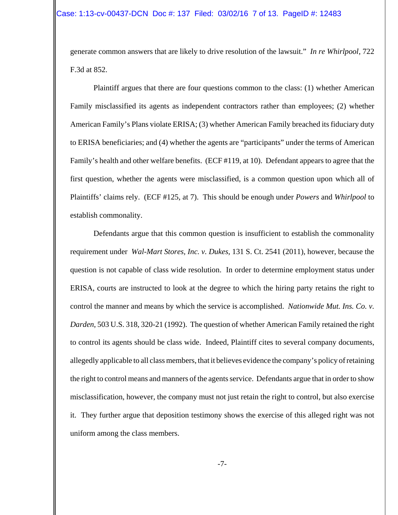generate common answers that are likely to drive resolution of the lawsuit." *In re Whirlpool*, 722 F.3d at 852.

Plaintiff argues that there are four questions common to the class: (1) whether American Family misclassified its agents as independent contractors rather than employees; (2) whether American Family's Plans violate ERISA; (3) whether American Family breached its fiduciary duty to ERISA beneficiaries; and (4) whether the agents are "participants" under the terms of American Family's health and other welfare benefits. (ECF #119, at 10). Defendant appears to agree that the first question, whether the agents were misclassified, is a common question upon which all of Plaintiffs' claims rely. (ECF #125, at 7). This should be enough under *Powers* and *Whirlpool* to establish commonality.

Defendants argue that this common question is insufficient to establish the commonality requirement under *Wal-Mart Stores, Inc. v. Dukes*, 131 S. Ct. 2541 (2011), however, because the question is not capable of class wide resolution. In order to determine employment status under ERISA, courts are instructed to look at the degree to which the hiring party retains the right to control the manner and means by which the service is accomplished. *Nationwide Mut. Ins. Co. v. Darden*, 503 U.S. 318, 320-21 (1992). The question of whether American Family retained the right to control its agents should be class wide. Indeed, Plaintiff cites to several company documents, allegedly applicable to all class members, that it believes evidence the company's policy of retaining the right to control means and manners of the agents service. Defendants argue that in order to show misclassification, however, the company must not just retain the right to control, but also exercise it. They further argue that deposition testimony shows the exercise of this alleged right was not uniform among the class members.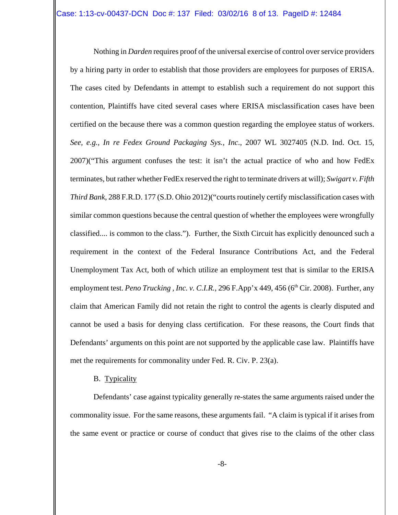Nothing in *Darden* requires proof of the universal exercise of control over service providers by a hiring party in order to establish that those providers are employees for purposes of ERISA. The cases cited by Defendants in attempt to establish such a requirement do not support this contention, Plaintiffs have cited several cases where ERISA misclassification cases have been certified on the because there was a common question regarding the employee status of workers. *See, e.g., In re Fedex Ground Packaging Sys., Inc*., 2007 WL 3027405 (N.D. Ind. Oct. 15, 2007)("This argument confuses the test: it isn't the actual practice of who and how FedEx terminates, but rather whether FedEx reserved the right to terminate drivers at will); *Swigart v. Fifth Third Bank*, 288 F.R.D. 177 (S.D. Ohio 2012)("courts routinely certify misclassification cases with similar common questions because the central question of whether the employees were wrongfully classified.... is common to the class."). Further, the Sixth Circuit has explicitly denounced such a requirement in the context of the Federal Insurance Contributions Act, and the Federal Unemployment Tax Act, both of which utilize an employment test that is similar to the ERISA employment test. *Peno Trucking, Inc. v. C.I.R.*, 296 F.App'x 449, 456 (6<sup>th</sup> Cir. 2008). Further, any claim that American Family did not retain the right to control the agents is clearly disputed and cannot be used a basis for denying class certification. For these reasons, the Court finds that Defendants' arguments on this point are not supported by the applicable case law. Plaintiffs have met the requirements for commonality under Fed. R. Civ. P. 23(a).

## B. Typicality

Defendants' case against typicality generally re-states the same arguments raised under the commonality issue. For the same reasons, these arguments fail. "A claim is typical if it arises from the same event or practice or course of conduct that gives rise to the claims of the other class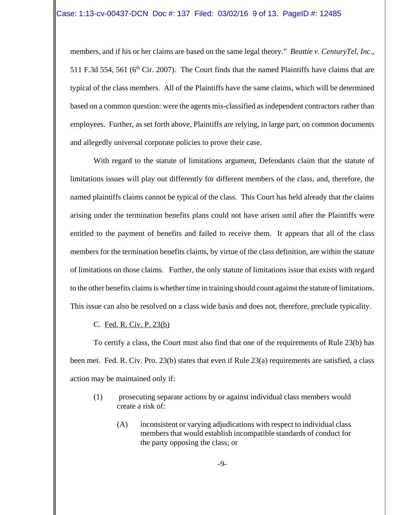members, and if his or her claims are based on the same legal theory." *Beattie v. CenturyTel, Inc*., 511 F.3d 554, 561 ( $6<sup>th</sup>$  Cir. 2007). The Court finds that the named Plaintiffs have claims that are typical of the class members. All of the Plaintiffs have the same claims, which will be determined based on a common question: were the agents mis-classified as independent contractors rather than employees. Further, as set forth above, Plaintiffs are relying, in large part, on common documents and allegedly universal corporate policies to prove their case.

With regard to the statute of limitations argument, Defendants claim that the statute of limitations issues will play out differently for different members of the class, and, therefore, the named plaintiffs claims cannot be typical of the class. This Court has held already that the claims arising under the termination benefits plans could not have arisen until after the Plaintiffs were entitled to the payment of benefits and failed to receive them. It appears that all of the class members for the termination benefits claims, by virtue of the class definition, are within the statute of limitations on those claims. Further, the only statute of limitations issue that exists with regard to the other benefits claims is whether time in training should count against the statute of limitations. This issue can also be resolved on a class wide basis and does not, therefore, preclude typicality.

C. Fed. R. Civ. P. 23(b)

To certify a class, the Court must also find that one of the requirements of Rule 23(b) has been met. Fed. R. Civ. Pro. 23(b) states that even if Rule 23(a) requirements are satisfied, a class action may be maintained only if:

- (1) prosecuting separate actions by or against individual class members would create a risk of:
	- (A) inconsistent or varying adjudications with respect to individual class members that would establish incompatible standards of conduct for the party opposing the class; or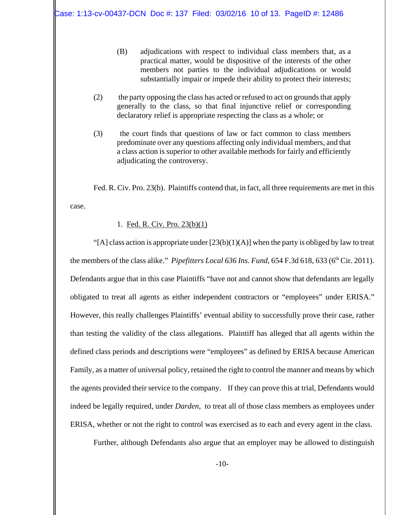- (B) adjudications with respect to individual class members that, as a practical matter, would be dispositive of the interests of the other members not parties to the individual adjudications or would substantially impair or impede their ability to protect their interests;
- (2) the party opposing the class has acted or refused to act on grounds that apply generally to the class, so that final injunctive relief or corresponding declaratory relief is appropriate respecting the class as a whole; or
- (3) the court finds that questions of law or fact common to class members predominate over any questions affecting only individual members, and that a class action is superior to other available methods for fairly and efficiently adjudicating the controversy.

Fed. R. Civ. Pro. 23(b). Plaintiffs contend that, in fact, all three requirements are met in this case.

### 1. Fed. R. Civ. Pro. 23(b)(1)

"[A] class action is appropriate under  $[23(b)(1)(A)]$  when the party is obliged by law to treat the members of the class alike." *Pipefitters Local 636 Ins. Fund*, 654 F.3d 618, 633 (6<sup>th</sup> Cir. 2011). Defendants argue that in this case Plaintiffs "have not and cannot show that defendants are legally obligated to treat all agents as either independent contractors or "employees" under ERISA." However, this really challenges Plaintiffs' eventual ability to successfully prove their case, rather than testing the validity of the class allegations. Plaintiff has alleged that all agents within the defined class periods and descriptions were "employees" as defined by ERISA because American Family, as a matter of universal policy, retained the right to control the manner and means by which the agents provided their service to the company. If they can prove this at trial, Defendants would indeed be legally required, under *Darden*, to treat all of those class members as employees under ERISA, whether or not the right to control was exercised as to each and every agent in the class.

Further, although Defendants also argue that an employer may be allowed to distinguish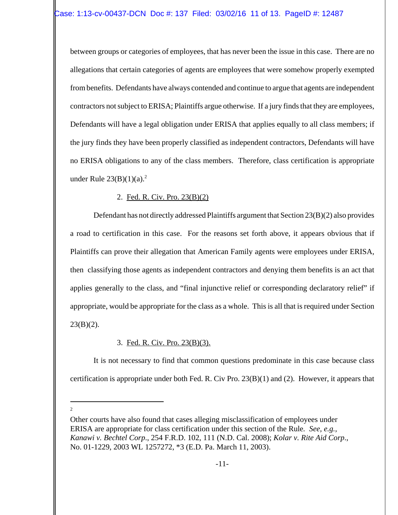between groups or categories of employees, that has never been the issue in this case. There are no allegations that certain categories of agents are employees that were somehow properly exempted from benefits. Defendants have always contended and continue to argue that agents are independent contractors not subject to ERISA; Plaintiffs argue otherwise. If a jury finds that they are employees, Defendants will have a legal obligation under ERISA that applies equally to all class members; if the jury finds they have been properly classified as independent contractors, Defendants will have no ERISA obligations to any of the class members. Therefore, class certification is appropriate under Rule  $23(B)(1)(a)^2$ 

# 2. Fed. R. Civ. Pro. 23(B)(2)

Defendant has not directly addressed Plaintiffs argument that Section 23(B)(2) also provides a road to certification in this case. For the reasons set forth above, it appears obvious that if Plaintiffs can prove their allegation that American Family agents were employees under ERISA, then classifying those agents as independent contractors and denying them benefits is an act that applies generally to the class, and "final injunctive relief or corresponding declaratory relief" if appropriate, would be appropriate for the class as a whole. This is all that is required under Section  $23(B)(2)$ .

# 3. Fed. R. Civ. Pro. 23(B)(3).

It is not necessary to find that common questions predominate in this case because class certification is appropriate under both Fed. R. Civ Pro. 23(B)(1) and (2). However, it appears that

2

Other courts have also found that cases alleging misclassification of employees under ERISA are appropriate for class certification under this section of the Rule*. See, e.g., Kanawi v. Bechtel Corp*., 254 F.R.D. 102, 111 (N.D. Cal. 2008); *Kolar v. Rite Aid Corp*., No. 01-1229, 2003 WL 1257272, \*3 (E.D. Pa. March 11, 2003).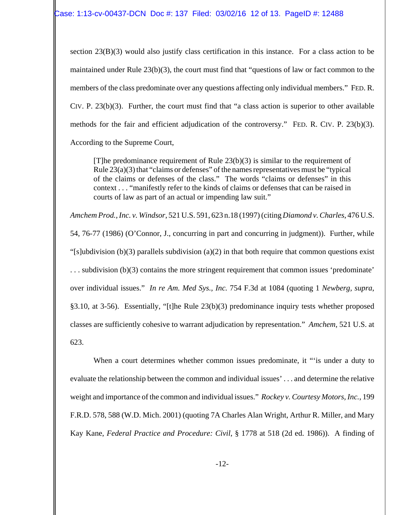section 23(B)(3) would also justify class certification in this instance. For a class action to be maintained under Rule 23(b)(3), the court must find that "questions of law or fact common to the members of the class predominate over any questions affecting only individual members." FED. R. CIV. P. 23(b)(3). Further, the court must find that "a class action is superior to other available methods for the fair and efficient adjudication of the controversy." FED. R. CIV. P. 23(b)(3). According to the Supreme Court,

[T]he predominance requirement of Rule 23(b)(3) is similar to the requirement of Rule 23(a)(3) that "claims or defenses" of the names representatives must be "typical of the claims or defenses of the class." The words "claims or defenses" in this context . . . "manifestly refer to the kinds of claims or defenses that can be raised in courts of law as part of an actual or impending law suit."

*Amchem Prod., Inc. v. Windsor*, 521 U.S. 591, 623 n.18 (1997) (citing *Diamond v. Charles*, 476 U.S. 54, 76-77 (1986) (O'Connor, J., concurring in part and concurring in judgment)). Further, while "[s]ubdivision (b)(3) parallels subdivision (a)(2) in that both require that common questions exist . . . subdivision (b)(3) contains the more stringent requirement that common issues 'predominate' over individual issues." *In re Am. Med Sys., Inc.* 754 F.3d at 1084 (quoting 1 *Newberg, supra*, §3.10, at 3-56). Essentially, "[t]he Rule 23(b)(3) predominance inquiry tests whether proposed classes are sufficiently cohesive to warrant adjudication by representation." *Amchem*, 521 U.S. at 623.

When a court determines whether common issues predominate, it "'is under a duty to evaluate the relationship between the common and individual issues' . . . and determine the relative weight and importance of the common and individual issues." *Rockey v. Courtesy Motors, Inc.*, 199 F.R.D. 578, 588 (W.D. Mich. 2001) (quoting 7A Charles Alan Wright, Arthur R. Miller, and Mary Kay Kane, *Federal Practice and Procedure: Civil*, § 1778 at 518 (2d ed. 1986)). A finding of